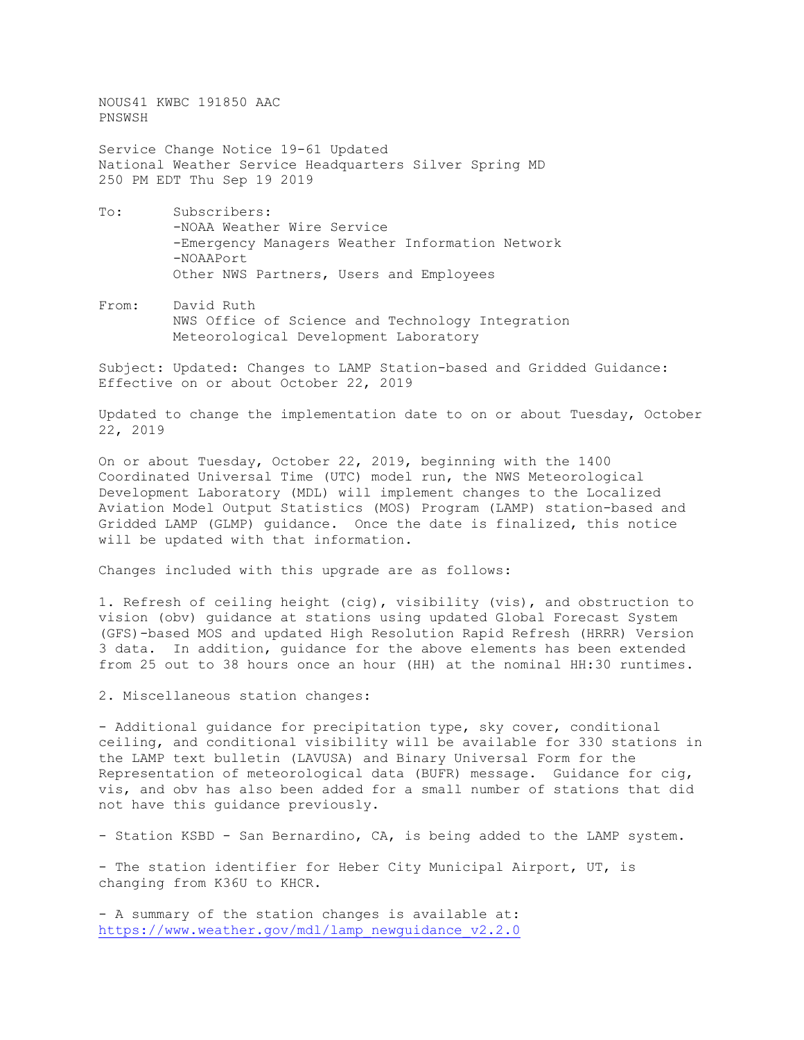NOUS41 KWBC 191850 AAC PNSWSH

Service Change Notice 19-61 Updated National Weather Service Headquarters Silver Spring MD 250 PM EDT Thu Sep 19 2019

- To: Subscribers: -NOAA Weather Wire Service -Emergency Managers Weather Information Network -NOAAPort Other NWS Partners, Users and Employees
- From: David Ruth NWS Office of Science and Technology Integration Meteorological Development Laboratory

Subject: Updated: Changes to LAMP Station-based and Gridded Guidance: Effective on or about October 22, 2019

Updated to change the implementation date to on or about Tuesday, October 22, 2019

On or about Tuesday, October 22, 2019, beginning with the 1400 Coordinated Universal Time (UTC) model run, the NWS Meteorological Development Laboratory (MDL) will implement changes to the Localized Aviation Model Output Statistics (MOS) Program (LAMP) station-based and Gridded LAMP (GLMP) guidance. Once the date is finalized, this notice will be updated with that information.

Changes included with this upgrade are as follows:

1. Refresh of ceiling height (cig), visibility (vis), and obstruction to vision (obv) guidance at stations using updated Global Forecast System (GFS)-based MOS and updated High Resolution Rapid Refresh (HRRR) Version 3 data. In addition, guidance for the above elements has been extended from 25 out to 38 hours once an hour (HH) at the nominal HH:30 runtimes.

2. Miscellaneous station changes:

- Additional guidance for precipitation type, sky cover, conditional ceiling, and conditional visibility will be available for 330 stations in the LAMP text bulletin (LAVUSA) and Binary Universal Form for the Representation of meteorological data (BUFR) message. Guidance for cig, vis, and obv has also been added for a small number of stations that did not have this guidance previously.

- Station KSBD - San Bernardino, CA, is being added to the LAMP system.

- The station identifier for Heber City Municipal Airport, UT, is changing from K36U to KHCR.

- A summary of the station changes is available at: [https://www.weather.gov/mdl/lamp\\_newguidance\\_v2.2.0](https://www.weather.gov/mdl/lamp_newguidance_v2.2.0)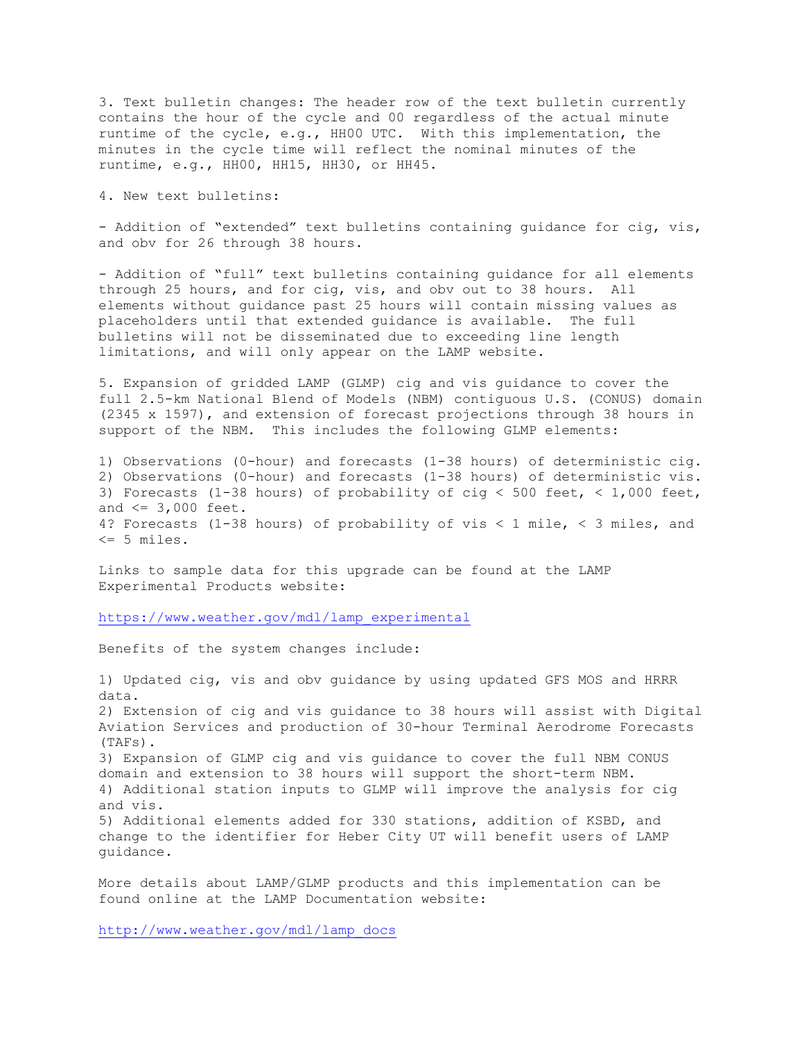3. Text bulletin changes: The header row of the text bulletin currently contains the hour of the cycle and 00 regardless of the actual minute runtime of the cycle, e.g., HH00 UTC. With this implementation, the minutes in the cycle time will reflect the nominal minutes of the runtime, e.g., HH00, HH15, HH30, or HH45.

4. New text bulletins:

- Addition of "extended" text bulletins containing guidance for cig, vis, and obv for 26 through 38 hours.

- Addition of "full" text bulletins containing guidance for all elements through 25 hours, and for cig, vis, and obv out to 38 hours. All elements without guidance past 25 hours will contain missing values as placeholders until that extended guidance is available. The full bulletins will not be disseminated due to exceeding line length limitations, and will only appear on the LAMP website.

5. Expansion of gridded LAMP (GLMP) cig and vis guidance to cover the full 2.5-km National Blend of Models (NBM) contiguous U.S. (CONUS) domain (2345 x 1597), and extension of forecast projections through 38 hours in support of the NBM. This includes the following GLMP elements:

1) Observations (0-hour) and forecasts (1-38 hours) of deterministic cig. 2) Observations (0-hour) and forecasts (1-38 hours) of deterministic vis. 3) Forecasts (1-38 hours) of probability of cig < 500 feet, < 1,000 feet, and  $\leq$  3,000 feet. 4? Forecasts (1-38 hours) of probability of vis < 1 mile, < 3 miles, and  $\leq$  5 miles.

Links to sample data for this upgrade can be found at the LAMP Experimental Products website:

[https://www.weather.gov/mdl/lamp\\_experimental](https://www.weather.gov/mdl/lamp_experimental)

Benefits of the system changes include:

1) Updated cig, vis and obv guidance by using updated GFS MOS and HRRR data. 2) Extension of cig and vis guidance to 38 hours will assist with Digital Aviation Services and production of 30-hour Terminal Aerodrome Forecasts (TAFs). 3) Expansion of GLMP cig and vis guidance to cover the full NBM CONUS domain and extension to 38 hours will support the short-term NBM. 4) Additional station inputs to GLMP will improve the analysis for cig and vis. 5) Additional elements added for 330 stations, addition of KSBD, and change to the identifier for Heber City UT will benefit users of LAMP guidance.

More details about LAMP/GLMP products and this implementation can be found online at the LAMP Documentation website:

[http://www.weather.gov/mdl/lamp\\_docs](http://www.weather.gov/mdl/lamp_docs)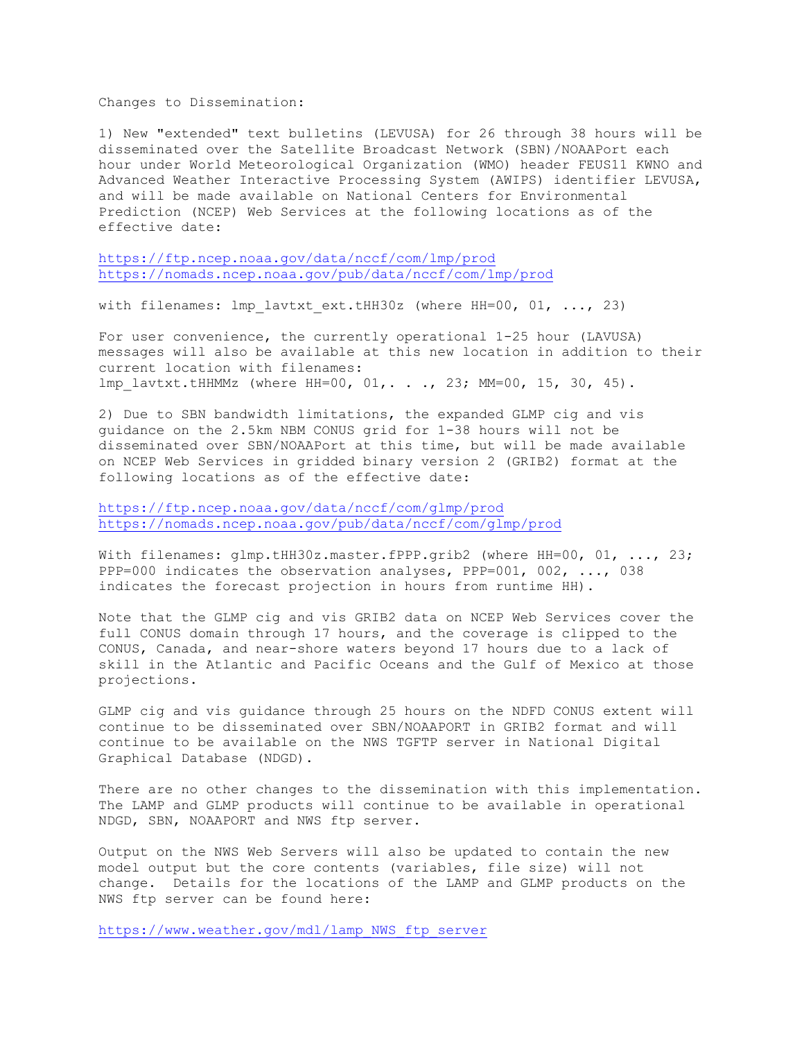Changes to Dissemination:

1) New "extended" text bulletins (LEVUSA) for 26 through 38 hours will be disseminated over the Satellite Broadcast Network (SBN)/NOAAPort each hour under World Meteorological Organization (WMO) header FEUS11 KWNO and Advanced Weather Interactive Processing System (AWIPS) identifier LEVUSA, and will be made available on National Centers for Environmental Prediction (NCEP) Web Services at the following locations as of the effective date:

<https://ftp.ncep.noaa.gov/data/nccf/com/lmp/prod> <https://nomads.ncep.noaa.gov/pub/data/nccf/com/lmp/prod>

with filenames: lmp lavtxt ext.tHH30z (where HH=00, 01, ..., 23)

For user convenience, the currently operational 1-25 hour (LAVUSA) messages will also be available at this new location in addition to their current location with filenames: lmp\_lavtxt.tHHMMz (where HH=00, 01,. . ., 23; MM=00, 15, 30, 45).

2) Due to SBN bandwidth limitations, the expanded GLMP cig and vis guidance on the 2.5km NBM CONUS grid for 1-38 hours will not be disseminated over SBN/NOAAPort at this time, but will be made available on NCEP Web Services in gridded binary version 2 (GRIB2) format at the following locations as of the effective date:

<https://ftp.ncep.noaa.gov/data/nccf/com/glmp/prod> <https://nomads.ncep.noaa.gov/pub/data/nccf/com/glmp/prod>

With filenames: glmp.tHH30z.master.fPPP.grib2 (where HH=00, 01, ..., 23; PPP=000 indicates the observation analyses, PPP=001, 002, ..., 038 indicates the forecast projection in hours from runtime HH).

Note that the GLMP cig and vis GRIB2 data on NCEP Web Services cover the full CONUS domain through 17 hours, and the coverage is clipped to the CONUS, Canada, and near-shore waters beyond 17 hours due to a lack of skill in the Atlantic and Pacific Oceans and the Gulf of Mexico at those projections.

GLMP cig and vis guidance through 25 hours on the NDFD CONUS extent will continue to be disseminated over SBN/NOAAPORT in GRIB2 format and will continue to be available on the NWS TGFTP server in National Digital Graphical Database (NDGD).

There are no other changes to the dissemination with this implementation. The LAMP and GLMP products will continue to be available in operational NDGD, SBN, NOAAPORT and NWS ftp server.

Output on the NWS Web Servers will also be updated to contain the new model output but the core contents (variables, file size) will not change. Details for the locations of the LAMP and GLMP products on the NWS ftp server can be found here:

[https://www.weather.gov/mdl/lamp\\_NWS\\_ftp\\_server](https://www.weather.gov/mdl/lamp_NWS_ftp_server)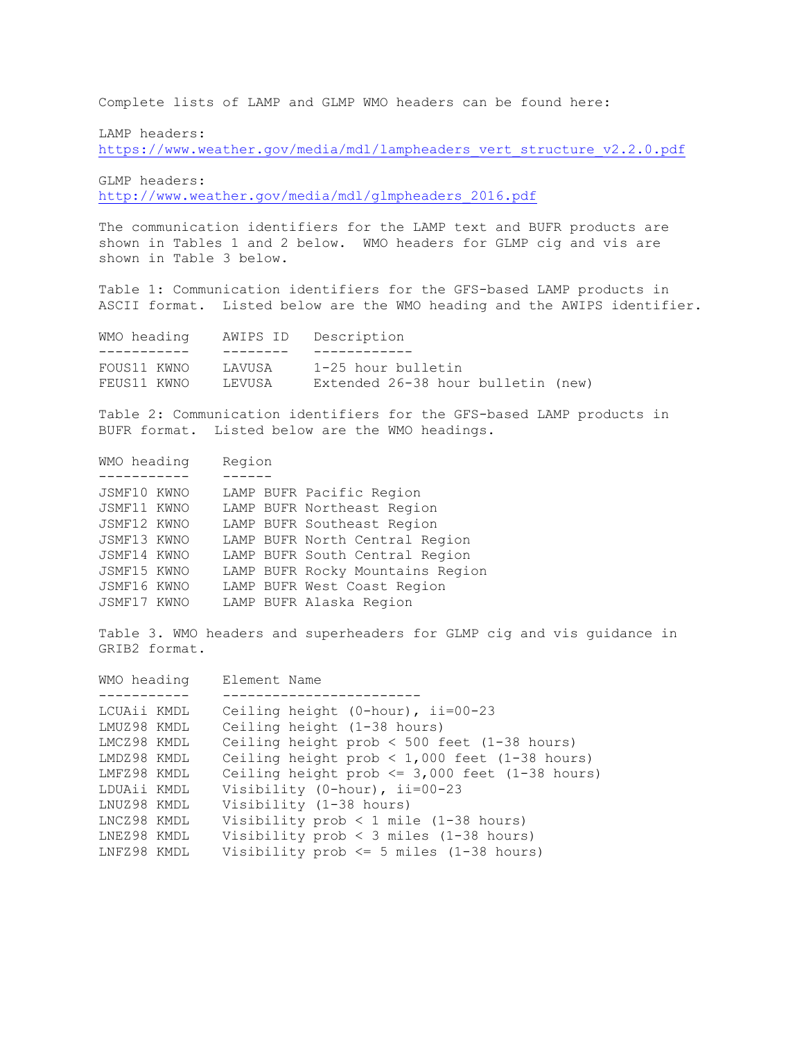Complete lists of LAMP and GLMP WMO headers can be found here:

LAMP headers:

[https://www.weather.gov/media/mdl/lampheaders\\_vert\\_structure\\_v2.2.0.pdf](https://www.weather.gov/media/mdl/lampheaders_vert_structure_v2.2.0.pdf)

GLMP headers:

[http://www.weather.gov/media/mdl/glmpheaders\\_2016.pdf](http://www.weather.gov/media/mdl/glmpheaders_2016.pdf)

The communication identifiers for the LAMP text and BUFR products are shown in Tables 1 and 2 below. WMO headers for GLMP cig and vis are shown in Table 3 below.

Table 1: Communication identifiers for the GFS-based LAMP products in ASCII format. Listed below are the WMO heading and the AWIPS identifier.

| WMO heading | AWIPS ID Description |                    |  |                                    |  |
|-------------|----------------------|--------------------|--|------------------------------------|--|
|             |                      |                    |  |                                    |  |
| FOUS11 KWNO | LAVUSA               | 1-25 hour bulletin |  |                                    |  |
| FEUS11 KWNO | LEVUSA               |                    |  | Extended 26-38 hour bulletin (new) |  |

Table 2: Communication identifiers for the GFS-based LAMP products in BUFR format. Listed below are the WMO headings.

| WMO heading |  | Region |  |                                  |  |
|-------------|--|--------|--|----------------------------------|--|
|             |  |        |  |                                  |  |
| JSMF10 KWNO |  |        |  | LAMP BUFR Pacific Region         |  |
| JSMF11 KWNO |  |        |  | LAMP BUFR Northeast Region       |  |
| JSMF12 KWNO |  |        |  | LAMP BUFR Southeast Region       |  |
| JSMF13 KWNO |  |        |  | LAMP BUFR North Central Region   |  |
| JSMF14 KWNO |  |        |  | LAMP BUFR South Central Region   |  |
| JSMF15 KWNO |  |        |  | LAMP BUFR Rocky Mountains Region |  |
| JSMF16 KWNO |  |        |  | LAMP BUFR West Coast Region      |  |
| JSMF17 KWNO |  |        |  | LAMP BUFR Alaska Region          |  |
|             |  |        |  |                                  |  |

Table 3. WMO headers and superheaders for GLMP cig and vis guidance in GRIB2 format.

| WMO heading | Element Name |                                                    |
|-------------|--------------|----------------------------------------------------|
|             |              |                                                    |
| LCUAii KMDL |              | Ceiling height $(0 - hour)$ , ii=00-23             |
| LMUZ98 KMDL |              | Ceiling height (1-38 hours)                        |
| LMCZ98 KMDL |              | Ceiling height $prob < 500$ feet (1-38 hours)      |
| LMDZ98 KMDL |              | Ceiling height $prob < 1,000$ feet (1-38 hours)    |
| LMFZ98 KMDL |              | Ceiling height prob $\leq$ 3,000 feet (1-38 hours) |
| LDUAii KMDL |              | Visibility $(0 - hour)$ , ii=00-23                 |
| LNUZ98 KMDL |              | Visibility (1-38 hours)                            |
| LNCZ98 KMDL |              | Visibility prob $\langle$ 1 mile (1-38 hours)      |
| LNEZ98 KMDL |              | Visibility $prob < 3$ miles (1-38 hours)           |
| LNFZ98 KMDL |              | Visibility prob $\le$ 5 miles (1-38 hours)         |
|             |              |                                                    |